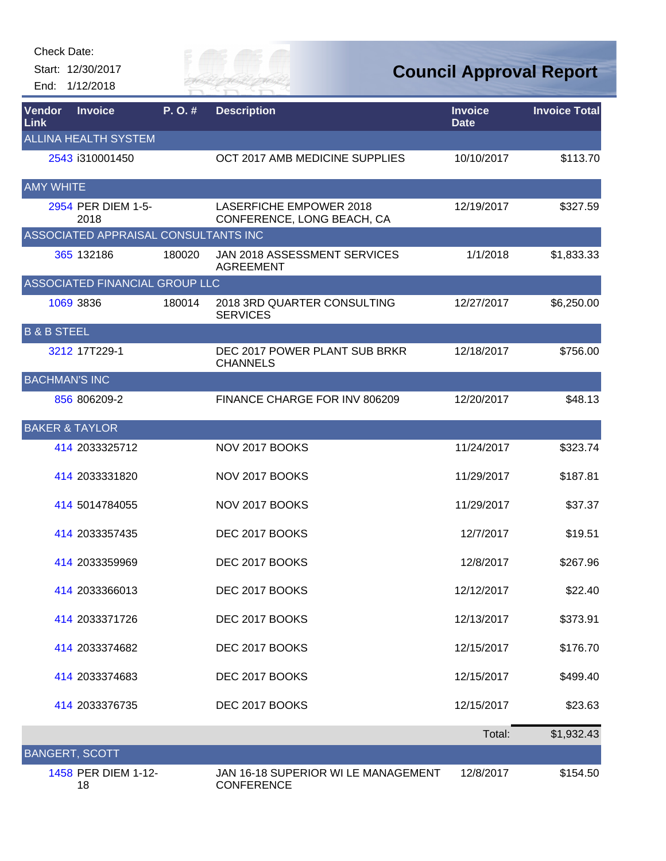Check Date:

Start: 12/30/2017 End: 1/12/2018



**Council Approval Report**

| Vendor<br>Link            | <b>Invoice</b>                       | P.O.#  | <b>Description</b>                                           | <b>Invoice</b><br><b>Date</b> | <b>Invoice Total</b> |
|---------------------------|--------------------------------------|--------|--------------------------------------------------------------|-------------------------------|----------------------|
|                           | <b>ALLINA HEALTH SYSTEM</b>          |        |                                                              |                               |                      |
|                           | 2543 i310001450                      |        | OCT 2017 AMB MEDICINE SUPPLIES                               | 10/10/2017                    | \$113.70             |
| <b>AMY WHITE</b>          |                                      |        |                                                              |                               |                      |
|                           | 2954 PER DIEM 1-5-<br>2018           |        | <b>LASERFICHE EMPOWER 2018</b><br>CONFERENCE, LONG BEACH, CA | 12/19/2017                    | \$327.59             |
|                           | ASSOCIATED APPRAISAL CONSULTANTS INC |        |                                                              |                               |                      |
|                           | 365 132186                           | 180020 | JAN 2018 ASSESSMENT SERVICES<br><b>AGREEMENT</b>             | 1/1/2018                      | \$1,833.33           |
|                           | ASSOCIATED FINANCIAL GROUP LLC       |        |                                                              |                               |                      |
|                           | 1069 3836                            | 180014 | 2018 3RD QUARTER CONSULTING<br><b>SERVICES</b>               | 12/27/2017                    | \$6,250.00           |
| <b>B &amp; B STEEL</b>    |                                      |        |                                                              |                               |                      |
|                           | 3212 17T229-1                        |        | DEC 2017 POWER PLANT SUB BRKR<br><b>CHANNELS</b>             | 12/18/2017                    | \$756.00             |
| <b>BACHMAN'S INC</b>      |                                      |        |                                                              |                               |                      |
|                           | 856 806209-2                         |        | FINANCE CHARGE FOR INV 806209                                | 12/20/2017                    | \$48.13              |
| <b>BAKER &amp; TAYLOR</b> |                                      |        |                                                              |                               |                      |
|                           | 414 2033325712                       |        | NOV 2017 BOOKS                                               | 11/24/2017                    | \$323.74             |
|                           | 414 2033331820                       |        | NOV 2017 BOOKS                                               | 11/29/2017                    | \$187.81             |
|                           | 414 5014784055                       |        | NOV 2017 BOOKS                                               | 11/29/2017                    | \$37.37              |
|                           | 414 2033357435                       |        | DEC 2017 BOOKS                                               | 12/7/2017                     | \$19.51              |
|                           | 414 2033359969                       |        | DEC 2017 BOOKS                                               | 12/8/2017                     | \$267.96             |
|                           | 414 2033366013                       |        | DEC 2017 BOOKS                                               | 12/12/2017                    | \$22.40              |
|                           | 414 2033371726                       |        | DEC 2017 BOOKS                                               | 12/13/2017                    | \$373.91             |
|                           | 414 2033374682                       |        | DEC 2017 BOOKS                                               | 12/15/2017                    | \$176.70             |
|                           | 414 2033374683                       |        | DEC 2017 BOOKS                                               | 12/15/2017                    | \$499.40             |
|                           | 414 2033376735                       |        | DEC 2017 BOOKS                                               | 12/15/2017                    | \$23.63              |
|                           |                                      |        |                                                              | Total:                        | \$1,932.43           |
| <b>BANGERT, SCOTT</b>     |                                      |        |                                                              |                               |                      |
|                           | 1458 PER DIEM 1-12-<br>18            |        | JAN 16-18 SUPERIOR WI LE MANAGEMENT<br><b>CONFERENCE</b>     | 12/8/2017                     | \$154.50             |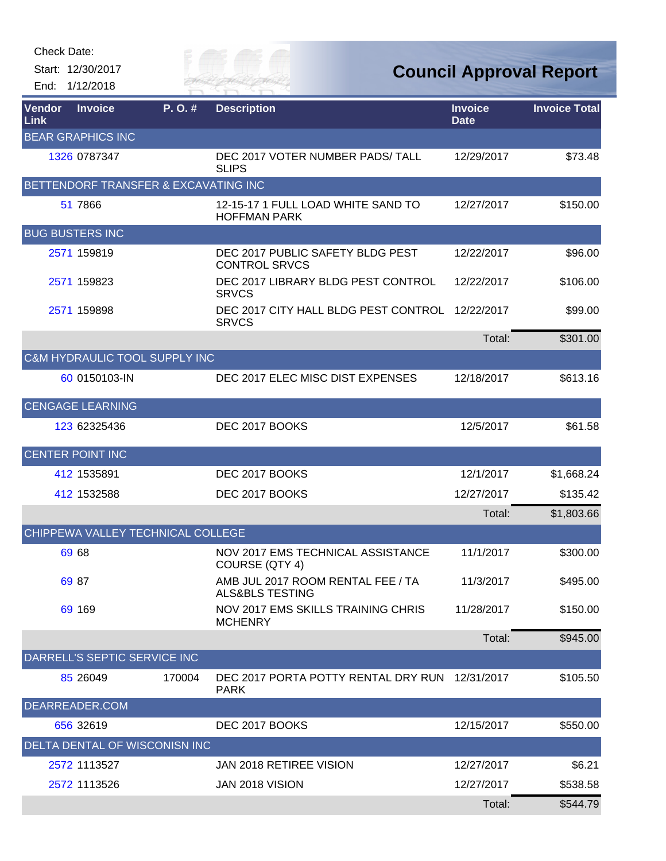Start: 12/30/2017 End: 1/12/2018

RIVER FAI

**Council Approval Report**

| Vendor<br>Link | <b>Invoice</b>                       | P.O.#  | <b>Description</b>                                              | <b>Invoice</b><br><b>Date</b> | <b>Invoice Total</b> |
|----------------|--------------------------------------|--------|-----------------------------------------------------------------|-------------------------------|----------------------|
|                | <b>BEAR GRAPHICS INC</b>             |        |                                                                 |                               |                      |
|                | 1326 0787347                         |        | DEC 2017 VOTER NUMBER PADS/ TALL<br><b>SLIPS</b>                | 12/29/2017                    | \$73.48              |
|                | BETTENDORF TRANSFER & EXCAVATING INC |        |                                                                 |                               |                      |
|                | 51 7866                              |        | 12-15-17 1 FULL LOAD WHITE SAND TO<br><b>HOFFMAN PARK</b>       | 12/27/2017                    | \$150.00             |
|                | <b>BUG BUSTERS INC</b>               |        |                                                                 |                               |                      |
|                | 2571 159819                          |        | DEC 2017 PUBLIC SAFETY BLDG PEST<br><b>CONTROL SRVCS</b>        | 12/22/2017                    | \$96.00              |
|                | 2571 159823                          |        | DEC 2017 LIBRARY BLDG PEST CONTROL<br><b>SRVCS</b>              | 12/22/2017                    | \$106.00             |
|                | 2571 159898                          |        | DEC 2017 CITY HALL BLDG PEST CONTROL<br><b>SRVCS</b>            | 12/22/2017                    | \$99.00              |
|                |                                      |        |                                                                 | Total:                        | \$301.00             |
|                | C&M HYDRAULIC TOOL SUPPLY INC        |        |                                                                 |                               |                      |
|                | 60 0150103-IN                        |        | DEC 2017 ELEC MISC DIST EXPENSES                                | 12/18/2017                    | \$613.16             |
|                | <b>CENGAGE LEARNING</b>              |        |                                                                 |                               |                      |
|                | 123 62325436                         |        | DEC 2017 BOOKS                                                  | 12/5/2017                     | \$61.58              |
|                | <b>CENTER POINT INC</b>              |        |                                                                 |                               |                      |
|                | 412 1535891                          |        | DEC 2017 BOOKS                                                  | 12/1/2017                     | \$1,668.24           |
|                | 412 1532588                          |        | DEC 2017 BOOKS                                                  | 12/27/2017                    | \$135.42             |
|                |                                      |        |                                                                 | Total:                        | \$1,803.66           |
|                | CHIPPEWA VALLEY TECHNICAL COLLEGE    |        |                                                                 |                               |                      |
|                | 69 68                                |        | NOV 2017 EMS TECHNICAL ASSISTANCE<br>COURSE (QTY 4)             | 11/1/2017                     | \$300.00             |
|                | 69 87                                |        | AMB JUL 2017 ROOM RENTAL FEE / TA<br><b>ALS&amp;BLS TESTING</b> | 11/3/2017                     | \$495.00             |
|                | 69 169                               |        | <b>NOV 2017 EMS SKILLS TRAINING CHRIS</b><br><b>MCHENRY</b>     | 11/28/2017                    | \$150.00             |
|                |                                      |        |                                                                 | Total:                        | \$945.00             |
|                | DARRELL'S SEPTIC SERVICE INC         |        |                                                                 |                               |                      |
|                | 85 26049                             | 170004 | DEC 2017 PORTA POTTY RENTAL DRY RUN<br><b>PARK</b>              | 12/31/2017                    | \$105.50             |
|                | DEARREADER.COM                       |        |                                                                 |                               |                      |
|                | 656 32619                            |        | DEC 2017 BOOKS                                                  | 12/15/2017                    | \$550.00             |
|                | DELTA DENTAL OF WISCONISN INC        |        |                                                                 |                               |                      |
|                | 2572 1113527                         |        | <b>JAN 2018 RETIREE VISION</b>                                  | 12/27/2017                    | \$6.21               |
|                | 2572 1113526                         |        | JAN 2018 VISION                                                 | 12/27/2017                    | \$538.58             |
|                |                                      |        |                                                                 | Total:                        | \$544.79             |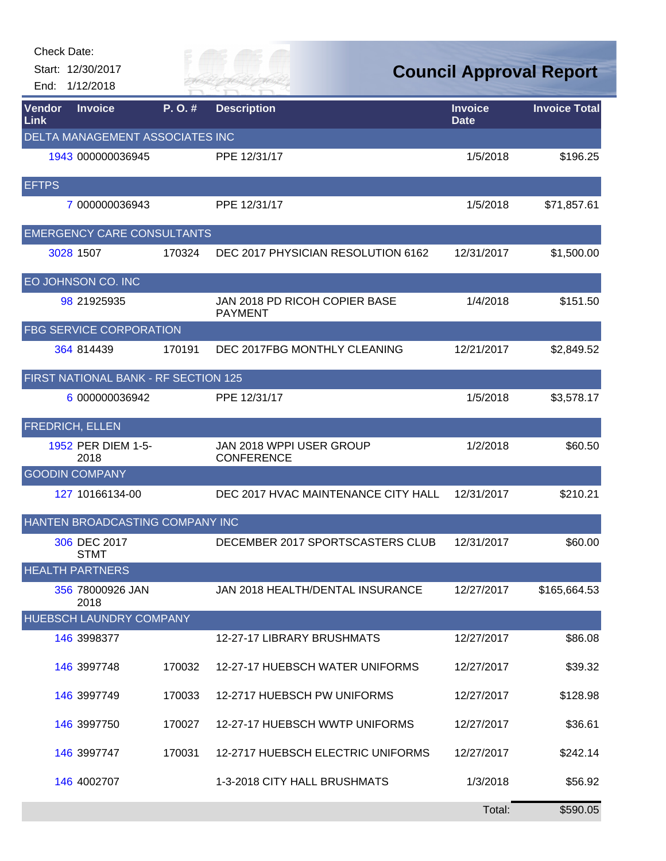| <b>Check Date:</b> | Start: 12/30/2017<br>End: 1/12/2018  |        |                                                 |                               | <b>Council Approval Report</b> |
|--------------------|--------------------------------------|--------|-------------------------------------------------|-------------------------------|--------------------------------|
| Vendor<br>Link     | <b>Invoice</b>                       | P.O.#  | <b>Description</b>                              | <b>Invoice</b><br><b>Date</b> | <b>Invoice Total</b>           |
|                    | DELTA MANAGEMENT ASSOCIATES INC      |        |                                                 |                               |                                |
|                    | 1943 000000036945                    |        | PPE 12/31/17                                    | 1/5/2018                      | \$196.25                       |
| <b>EFTPS</b>       |                                      |        |                                                 |                               |                                |
|                    | 7 000000036943                       |        | PPE 12/31/17                                    | 1/5/2018                      | \$71,857.61                    |
|                    | <b>EMERGENCY CARE CONSULTANTS</b>    |        |                                                 |                               |                                |
|                    | 3028 1507                            | 170324 | DEC 2017 PHYSICIAN RESOLUTION 6162              | 12/31/2017                    | \$1,500.00                     |
|                    | EO JOHNSON CO. INC                   |        |                                                 |                               |                                |
|                    | 98 21925935                          |        | JAN 2018 PD RICOH COPIER BASE<br><b>PAYMENT</b> | 1/4/2018                      | \$151.50                       |
|                    | <b>FBG SERVICE CORPORATION</b>       |        |                                                 |                               |                                |
|                    | 364 814439                           | 170191 | DEC 2017FBG MONTHLY CLEANING                    | 12/21/2017                    | \$2,849.52                     |
|                    | FIRST NATIONAL BANK - RF SECTION 125 |        |                                                 |                               |                                |
|                    | 6 000000036942                       |        | PPE 12/31/17                                    | 1/5/2018                      | \$3,578.17                     |
|                    | <b>FREDRICH, ELLEN</b>               |        |                                                 |                               |                                |
|                    | 1952 PER DIEM 1-5-<br>2018           |        | JAN 2018 WPPI USER GROUP<br><b>CONFERENCE</b>   | 1/2/2018                      | \$60.50                        |
|                    | <b>GOODIN COMPANY</b>                |        |                                                 |                               |                                |
|                    | 127 10166134-00                      |        | DEC 2017 HVAC MAINTENANCE CITY HALL             | 12/31/2017                    | \$210.21                       |
|                    | HANTEN BROADCASTING COMPANY INC      |        |                                                 |                               |                                |
|                    | 306 DEC 2017<br><b>STMT</b>          |        | DECEMBER 2017 SPORTSCASTERS CLUB                | 12/31/2017                    | \$60.00                        |
|                    | <b>HEALTH PARTNERS</b>               |        |                                                 |                               |                                |
|                    | 356 78000926 JAN<br>2018             |        | JAN 2018 HEALTH/DENTAL INSURANCE                | 12/27/2017                    | \$165,664.53                   |
|                    | HUEBSCH LAUNDRY COMPANY              |        |                                                 |                               |                                |
|                    | 146 3998377                          |        | 12-27-17 LIBRARY BRUSHMATS                      | 12/27/2017                    | \$86.08                        |
|                    | 146 3997748                          | 170032 | 12-27-17 HUEBSCH WATER UNIFORMS                 | 12/27/2017                    | \$39.32                        |
|                    | 146 3997749                          | 170033 | 12-2717 HUEBSCH PW UNIFORMS                     | 12/27/2017                    | \$128.98                       |
|                    | 146 3997750                          | 170027 | 12-27-17 HUEBSCH WWTP UNIFORMS                  | 12/27/2017                    | \$36.61                        |
|                    | 146 3997747                          | 170031 | 12-2717 HUEBSCH ELECTRIC UNIFORMS               | 12/27/2017                    | \$242.14                       |
|                    | 146 4002707                          |        | 1-3-2018 CITY HALL BRUSHMATS                    | 1/3/2018                      | \$56.92                        |
|                    |                                      |        |                                                 | Total:                        | \$590.05                       |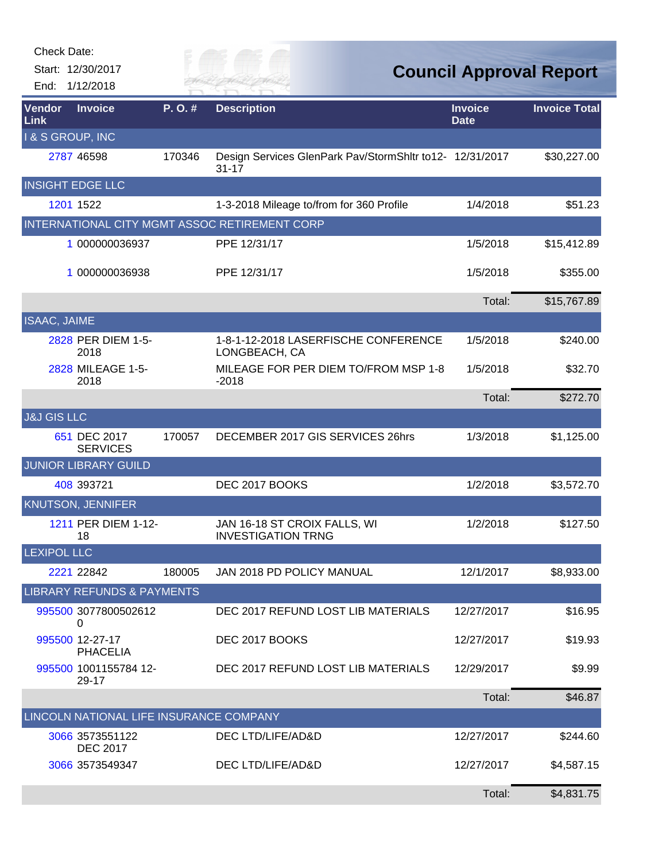| <b>Check Date:</b>        |                                         |        |                                                                       |                               |                                |
|---------------------------|-----------------------------------------|--------|-----------------------------------------------------------------------|-------------------------------|--------------------------------|
| End:                      | Start: 12/30/2017<br>1/12/2018          |        | FR HAI                                                                |                               | <b>Council Approval Report</b> |
| Vendor<br><b>Link</b>     | <b>Invoice</b>                          | P.O.#  | <b>Description</b>                                                    | <b>Invoice</b><br><b>Date</b> | <b>Invoice Total</b>           |
| <b>I&amp;S GROUP, INC</b> |                                         |        |                                                                       |                               |                                |
|                           | 2787 46598                              | 170346 | Design Services GlenPark Pav/StormShltr to12- 12/31/2017<br>$31 - 17$ |                               | \$30,227.00                    |
|                           | <b>INSIGHT EDGE LLC</b>                 |        |                                                                       |                               |                                |
|                           | 1201 1522                               |        | 1-3-2018 Mileage to/from for 360 Profile                              | 1/4/2018                      | \$51.23                        |
|                           |                                         |        | INTERNATIONAL CITY MGMT ASSOC RETIREMENT CORP                         |                               |                                |
|                           | 1 000000036937                          |        | PPE 12/31/17                                                          | 1/5/2018                      | \$15,412.89                    |
|                           | 1 000000036938                          |        | PPE 12/31/17                                                          | 1/5/2018                      | \$355.00                       |
|                           |                                         |        |                                                                       | Total:                        | \$15,767.89                    |
| ISAAC, JAIME              |                                         |        |                                                                       |                               |                                |
|                           | 2828 PER DIEM 1-5-<br>2018              |        | 1-8-1-12-2018 LASERFISCHE CONFERENCE<br>LONGBEACH, CA                 | 1/5/2018                      | \$240.00                       |
|                           | 2828 MILEAGE 1-5-<br>2018               |        | MILEAGE FOR PER DIEM TO/FROM MSP 1-8<br>$-2018$                       | 1/5/2018                      | \$32.70                        |
|                           |                                         |        |                                                                       | Total:                        | \$272.70                       |
| <b>J&amp;J GIS LLC</b>    |                                         |        |                                                                       |                               |                                |
|                           | 651 DEC 2017<br><b>SERVICES</b>         | 170057 | DECEMBER 2017 GIS SERVICES 26hrs                                      | 1/3/2018                      | \$1,125.00                     |
|                           | <b>JUNIOR LIBRARY GUILD</b>             |        |                                                                       |                               |                                |
|                           | 408 393721                              |        | DEC 2017 BOOKS                                                        | 1/2/2018                      | \$3,572.70                     |
|                           | <b>KNUTSON, JENNIFER</b>                |        |                                                                       |                               |                                |
|                           | 1211 PER DIEM 1-12-<br>18               |        | JAN 16-18 ST CROIX FALLS, WI<br><b>INVESTIGATION TRNG</b>             | 1/2/2018                      | \$127.50                       |
| <b>LEXIPOL LLC</b>        |                                         |        |                                                                       |                               |                                |
|                           | 2221 22842                              | 180005 | <b>JAN 2018 PD POLICY MANUAL</b>                                      | 12/1/2017                     | \$8,933.00                     |
|                           | <b>LIBRARY REFUNDS &amp; PAYMENTS</b>   |        |                                                                       |                               |                                |
|                           | 995500 3077800502612<br>0               |        | DEC 2017 REFUND LOST LIB MATERIALS                                    | 12/27/2017                    | \$16.95                        |
|                           | 995500 12-27-17<br><b>PHACELIA</b>      |        | DEC 2017 BOOKS                                                        | 12/27/2017                    | \$19.93                        |
|                           | 995500 1001155784 12-<br>29-17          |        | DEC 2017 REFUND LOST LIB MATERIALS                                    | 12/29/2017                    | \$9.99                         |
|                           |                                         |        |                                                                       | Total:                        | \$46.87                        |
|                           | LINCOLN NATIONAL LIFE INSURANCE COMPANY |        |                                                                       |                               |                                |
|                           | 3066 3573551122<br><b>DEC 2017</b>      |        | DEC LTD/LIFE/AD&D                                                     | 12/27/2017                    | \$244.60                       |
|                           | 3066 3573549347                         |        | DEC LTD/LIFE/AD&D                                                     | 12/27/2017                    | \$4,587.15                     |
|                           |                                         |        |                                                                       | Total:                        | \$4,831.75                     |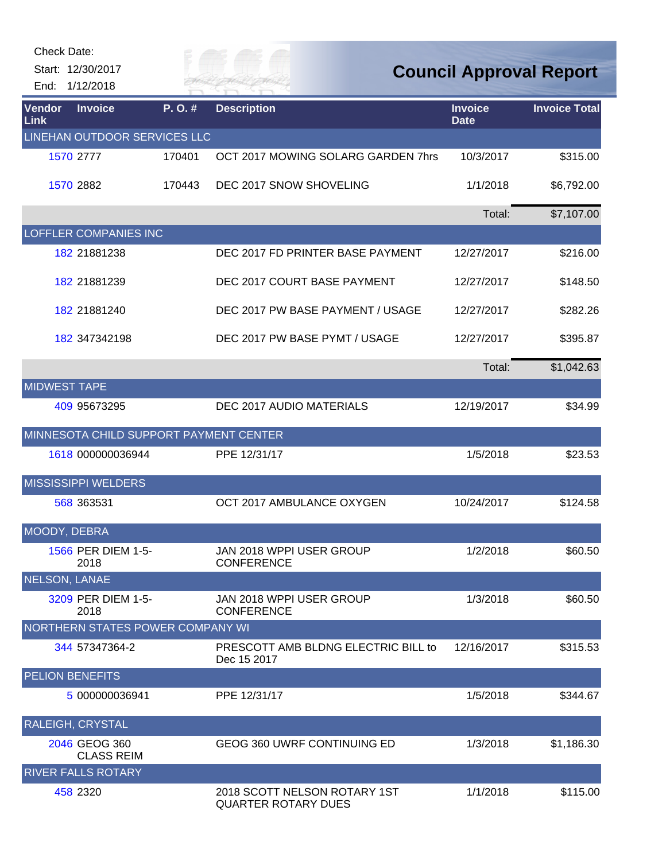Check Date:

## **Council Approval Report**

| End:                  | Start: 12/30/2017<br>1/12/2018         |        |                                                            | <b>Council Approval Report</b> |                      |  |
|-----------------------|----------------------------------------|--------|------------------------------------------------------------|--------------------------------|----------------------|--|
| <b>Vendor</b><br>Link | <b>Invoice</b>                         | P.O.#  | <b>Description</b>                                         | <b>Invoice</b><br><b>Date</b>  | <b>Invoice Total</b> |  |
|                       | LINEHAN OUTDOOR SERVICES LLC           |        |                                                            |                                |                      |  |
|                       | 1570 2777                              | 170401 | OCT 2017 MOWING SOLARG GARDEN 7hrs                         | 10/3/2017                      | \$315.00             |  |
|                       | 1570 2882                              | 170443 | DEC 2017 SNOW SHOVELING                                    | 1/1/2018                       | \$6,792.00           |  |
|                       |                                        |        |                                                            | Total:                         | \$7,107.00           |  |
|                       | LOFFLER COMPANIES INC                  |        |                                                            |                                |                      |  |
|                       | 182 21881238                           |        | DEC 2017 FD PRINTER BASE PAYMENT                           | 12/27/2017                     | \$216.00             |  |
|                       | 182 21881239                           |        | DEC 2017 COURT BASE PAYMENT                                | 12/27/2017                     | \$148.50             |  |
|                       | 182 21881240                           |        | DEC 2017 PW BASE PAYMENT / USAGE                           | 12/27/2017                     | \$282.26             |  |
|                       | 182 347342198                          |        | DEC 2017 PW BASE PYMT / USAGE                              | 12/27/2017                     | \$395.87             |  |
|                       |                                        |        |                                                            | Total:                         | \$1,042.63           |  |
| <b>MIDWEST TAPE</b>   |                                        |        |                                                            |                                |                      |  |
|                       | 409 95673295                           |        | DEC 2017 AUDIO MATERIALS                                   | 12/19/2017                     | \$34.99              |  |
|                       | MINNESOTA CHILD SUPPORT PAYMENT CENTER |        |                                                            |                                |                      |  |
|                       | 1618 000000036944                      |        | PPE 12/31/17                                               | 1/5/2018                       | \$23.53              |  |
|                       | <b>MISSISSIPPI WELDERS</b>             |        |                                                            |                                |                      |  |
|                       | 568 363531                             |        | OCT 2017 AMBULANCE OXYGEN                                  | 10/24/2017                     | \$124.58             |  |
| MOODY, DEBRA          |                                        |        |                                                            |                                |                      |  |
|                       | 1566 PER DIEM 1-5-<br>2018             |        | JAN 2018 WPPI USER GROUP<br><b>CONFERENCE</b>              | 1/2/2018                       | \$60.50              |  |
| NELSON, LANAE         |                                        |        |                                                            |                                |                      |  |
|                       | 3209 PER DIEM 1-5-<br>2018             |        | JAN 2018 WPPI USER GROUP<br><b>CONFERENCE</b>              | 1/3/2018                       | \$60.50              |  |
|                       | NORTHERN STATES POWER COMPANY WI       |        |                                                            |                                |                      |  |
|                       | 344 57347364-2                         |        | PRESCOTT AMB BLDNG ELECTRIC BILL to<br>Dec 15 2017         | 12/16/2017                     | \$315.53             |  |
|                       | PELION BENEFITS                        |        |                                                            |                                |                      |  |
|                       | 5 000000036941                         |        | PPE 12/31/17                                               | 1/5/2018                       | \$344.67             |  |
|                       | RALEIGH, CRYSTAL                       |        |                                                            |                                |                      |  |
|                       | 2046 GEOG 360<br><b>CLASS REIM</b>     |        | GEOG 360 UWRF CONTINUING ED                                | 1/3/2018                       | \$1,186.30           |  |
|                       | <b>RIVER FALLS ROTARY</b>              |        |                                                            |                                |                      |  |
|                       | 458 2320                               |        | 2018 SCOTT NELSON ROTARY 1ST<br><b>QUARTER ROTARY DUES</b> | 1/1/2018                       | \$115.00             |  |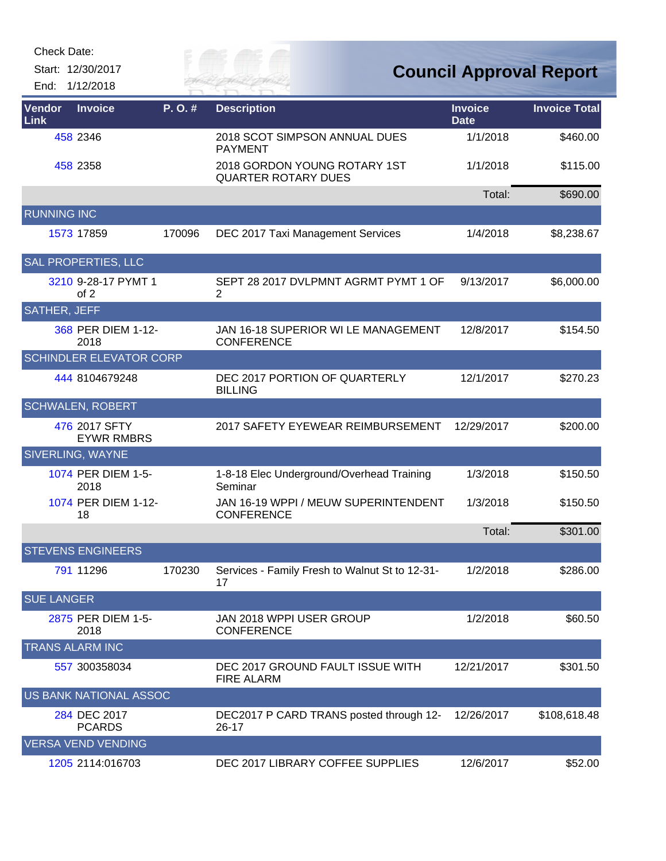Check Date:

Start: 12/30/2017 End: 1/12/2018

RIVER FAI

| Vendor<br>Link      | <b>Invoice</b>                     | P. O.# | <b>Description</b>                                         | <b>Invoice</b><br><b>Date</b> | <b>Invoice Total</b> |
|---------------------|------------------------------------|--------|------------------------------------------------------------|-------------------------------|----------------------|
|                     | 458 2346                           |        | 2018 SCOT SIMPSON ANNUAL DUES<br><b>PAYMENT</b>            | 1/1/2018                      | \$460.00             |
|                     | 458 2358                           |        | 2018 GORDON YOUNG ROTARY 1ST<br><b>QUARTER ROTARY DUES</b> | 1/1/2018                      | \$115.00             |
|                     |                                    |        |                                                            | Total:                        | \$690.00             |
| <b>RUNNING INC</b>  |                                    |        |                                                            |                               |                      |
|                     | 1573 17859                         | 170096 | DEC 2017 Taxi Management Services                          | 1/4/2018                      | \$8,238.67           |
|                     | SAL PROPERTIES, LLC                |        |                                                            |                               |                      |
|                     | 3210 9-28-17 PYMT 1<br>of 2        |        | SEPT 28 2017 DVLPMNT AGRMT PYMT 1 OF<br>2                  | 9/13/2017                     | \$6,000.00           |
| <b>SATHER, JEFF</b> |                                    |        |                                                            |                               |                      |
|                     | 368 PER DIEM 1-12-<br>2018         |        | JAN 16-18 SUPERIOR WI LE MANAGEMENT<br><b>CONFERENCE</b>   | 12/8/2017                     | \$154.50             |
|                     | <b>SCHINDLER ELEVATOR CORP</b>     |        |                                                            |                               |                      |
|                     | 444 8104679248                     |        | DEC 2017 PORTION OF QUARTERLY<br><b>BILLING</b>            | 12/1/2017                     | \$270.23             |
|                     | <b>SCHWALEN, ROBERT</b>            |        |                                                            |                               |                      |
|                     | 476 2017 SFTY<br><b>EYWR RMBRS</b> |        | 2017 SAFETY EYEWEAR REIMBURSEMENT                          | 12/29/2017                    | \$200.00             |
|                     | SIVERLING, WAYNE                   |        |                                                            |                               |                      |
|                     | 1074 PER DIEM 1-5-<br>2018         |        | 1-8-18 Elec Underground/Overhead Training<br>Seminar       | 1/3/2018                      | \$150.50             |
|                     | 1074 PER DIEM 1-12-<br>18          |        | JAN 16-19 WPPI / MEUW SUPERINTENDENT<br><b>CONFERENCE</b>  | 1/3/2018                      | \$150.50             |
|                     |                                    |        |                                                            | Total:                        | \$301.00             |
|                     | <b>STEVENS ENGINEERS</b>           |        |                                                            |                               |                      |
|                     | 791 11296                          | 170230 | Services - Family Fresh to Walnut St to 12-31-<br>17       | 1/2/2018                      | \$286.00             |
| <b>SUE LANGER</b>   |                                    |        |                                                            |                               |                      |
|                     | 2875 PER DIEM 1-5-<br>2018         |        | JAN 2018 WPPI USER GROUP<br><b>CONFERENCE</b>              | 1/2/2018                      | \$60.50              |
|                     | <b>TRANS ALARM INC</b>             |        |                                                            |                               |                      |
|                     | 557 300358034                      |        | DEC 2017 GROUND FAULT ISSUE WITH<br><b>FIRE ALARM</b>      | 12/21/2017                    | \$301.50             |
|                     | US BANK NATIONAL ASSOC             |        |                                                            |                               |                      |
|                     | 284 DEC 2017<br><b>PCARDS</b>      |        | DEC2017 P CARD TRANS posted through 12-<br>26-17           | 12/26/2017                    | \$108,618.48         |
|                     | <b>VERSA VEND VENDING</b>          |        |                                                            |                               |                      |
|                     | 1205 2114:016703                   |        | DEC 2017 LIBRARY COFFEE SUPPLIES                           | 12/6/2017                     | \$52.00              |